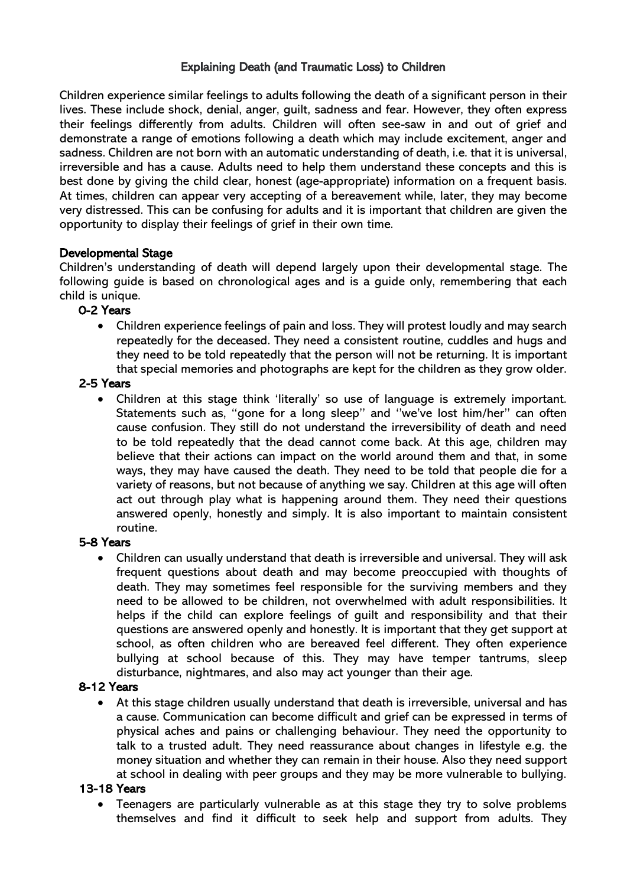## Explaining Death (and Traumatic Loss) to Children

Children experience similar feelings to adults following the death of a significant person in their lives. These include shock, denial, anger, guilt, sadness and fear. However, they often express their feelings differently from adults. Children will often see-saw in and out of grief and demonstrate a range of emotions following a death which may include excitement, anger and sadness. Children are not born with an automatic understanding of death, i.e. that it is universal, irreversible and has a cause. Adults need to help them understand these concepts and this is best done by giving the child clear, honest (age-appropriate) information on a frequent basis. At times, children can appear very accepting of a bereavement while, later, they may become very distressed. This can be confusing for adults and it is important that children are given the opportunity to display their feelings of grief in their own time.

#### Developmental Stage

Children's understanding of death will depend largely upon their developmental stage. The following guide is based on chronological ages and is a guide only, remembering that each child is unique.

## 0-2 Years

• Children experience feelings of pain and loss. They will protest loudly and may search repeatedly for the deceased. They need a consistent routine, cuddles and hugs and they need to be told repeatedly that the person will not be returning. It is important that special memories and photographs are kept for the children as they grow older.

#### 2-5 Years

• Children at this stage think 'literally' so use of language is extremely important. Statements such as, ''gone for a long sleep'' and ''we've lost him/her'' can often cause confusion. They still do not understand the irreversibility of death and need to be told repeatedly that the dead cannot come back. At this age, children may believe that their actions can impact on the world around them and that, in some ways, they may have caused the death. They need to be told that people die for a variety of reasons, but not because of anything we say. Children at this age will often act out through play what is happening around them. They need their questions answered openly, honestly and simply. It is also important to maintain consistent routine.

## 5-8 Years

• Children can usually understand that death is irreversible and universal. They will ask frequent questions about death and may become preoccupied with thoughts of death. They may sometimes feel responsible for the surviving members and they need to be allowed to be children, not overwhelmed with adult responsibilities. It helps if the child can explore feelings of guilt and responsibility and that their questions are answered openly and honestly. It is important that they get support at school, as often children who are bereaved feel different. They often experience bullying at school because of this. They may have temper tantrums, sleep disturbance, nightmares, and also may act younger than their age.

#### 8-12 Years

• At this stage children usually understand that death is irreversible, universal and has a cause. Communication can become difficult and grief can be expressed in terms of physical aches and pains or challenging behaviour. They need the opportunity to talk to a trusted adult. They need reassurance about changes in lifestyle e.g. the money situation and whether they can remain in their house. Also they need support at school in dealing with peer groups and they may be more vulnerable to bullying.

#### 13-18 Years

• Teenagers are particularly vulnerable as at this stage they try to solve problems themselves and find it difficult to seek help and support from adults. They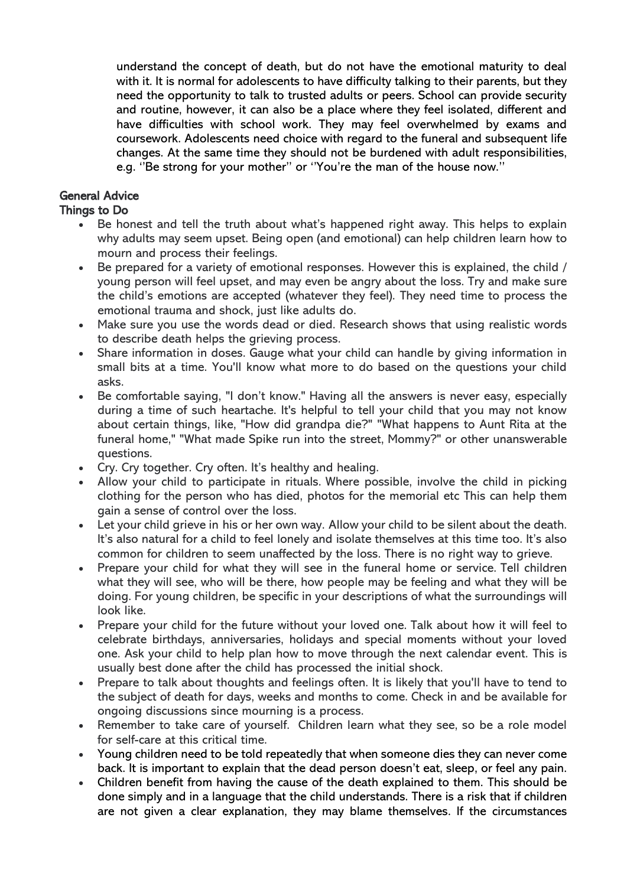understand the concept of death, but do not have the emotional maturity to deal with it. It is normal for adolescents to have difficulty talking to their parents, but they need the opportunity to talk to trusted adults or peers. School can provide security and routine, however, it can also be a place where they feel isolated, different and have difficulties with school work. They may feel overwhelmed by exams and coursework. Adolescents need choice with regard to the funeral and subsequent life changes. At the same time they should not be burdened with adult responsibilities, e.g. ''Be strong for your mother'' or ''You're the man of the house now.''

# General Advice

### Things to Do

- Be honest and tell the truth about what's happened right away. This helps to explain why adults may seem upset. Being open (and emotional) can help children learn how to mourn and process their feelings.
- Be prepared for a variety of emotional responses. However this is explained, the child / young person will feel upset, and may even be angry about the loss. Try and make sure the child's emotions are accepted (whatever they feel). They need time to process the emotional trauma and shock, just like adults do.
- Make sure you use the words dead or died. Research shows that using realistic words to describe death helps the grieving process.
- Share information in doses. Gauge what your child can handle by giving information in small bits at a time. You'll know what more to do based on the questions your child asks.
- Be comfortable saying, "I don't know." Having all the answers is never easy, especially during a time of such heartache. It's helpful to tell your child that you may not know about certain things, like, "How did grandpa die?" "What happens to Aunt Rita at the funeral home," "What made Spike run into the street, Mommy?" or other unanswerable questions.
- Cry. Cry together. Cry often. It's healthy and healing.
- Allow your child to participate in rituals. Where possible, involve the child in picking clothing for the person who has died, photos for the memorial etc This can help them gain a sense of control over the loss.
- Let your child grieve in his or her own way. Allow your child to be silent about the death. It's also natural for a child to feel lonely and isolate themselves at this time too. It's also common for children to seem unaffected by the loss. There is no right way to grieve.
- Prepare your child for what they will see in the funeral home or service. Tell children what they will see, who will be there, how people may be feeling and what they will be doing. For young children, be specific in your descriptions of what the surroundings will look like.
- Prepare your child for the future without your loved one. Talk about how it will feel to celebrate birthdays, anniversaries, holidays and special moments without your loved one. Ask your child to help plan how to move through the next calendar event. This is usually best done after the child has processed the initial shock.
- Prepare to talk about thoughts and feelings often. It is likely that you'll have to tend to the subject of death for days, weeks and months to come. Check in and be available for ongoing discussions since mourning is a process.
- Remember to take care of yourself. Children learn what they see, so be a role model for self-care at this critical time.
- Young children need to be told repeatedly that when someone dies they can never come back. It is important to explain that the dead person doesn't eat, sleep, or feel any pain.
- Children benefit from having the cause of the death explained to them. This should be done simply and in a language that the child understands. There is a risk that if children are not given a clear explanation, they may blame themselves. If the circumstances